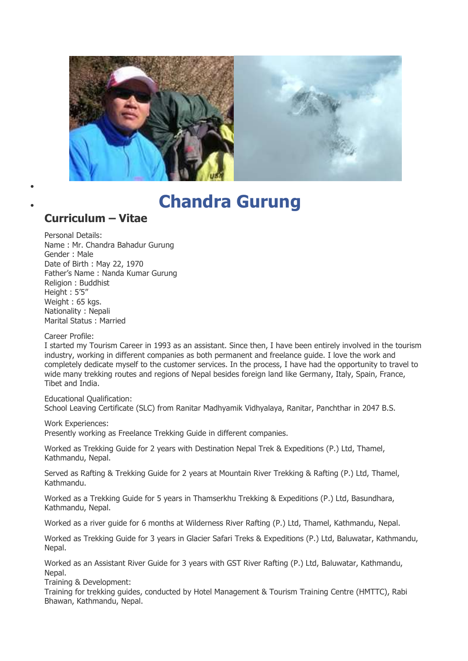

## **[Chandra Gurung](https://www.facebook.com/chandra.gurung2)**

## **Curriculum – Vitae**

 $\bullet$ 

Personal Details: Name : Mr. Chandra Bahadur Gurung Gender : Male Date of Birth : May 22, 1970 Father's Name : Nanda Kumar Gurung Religion : Buddhist Height : 5'5" Weight : 65 kgs. Nationality : Nepali Marital Status : Married

Career Profile:

I started my Tourism Career in 1993 as an assistant. Since then, I have been entirely involved in the tourism industry, working in different companies as both permanent and freelance guide. I love the work and completely dedicate myself to the customer services. In the process, I have had the opportunity to travel to wide many trekking routes and regions of Nepal besides foreign land like Germany, Italy, Spain, France, Tibet and India.

Educational Qualification: School Leaving Certificate (SLC) from Ranitar Madhyamik Vidhyalaya, Ranitar, Panchthar in 2047 B.S.

Work Experiences:

Presently working as Freelance Trekking Guide in different companies.

Worked as Trekking Guide for 2 years with Destination Nepal Trek & Expeditions (P.) Ltd, Thamel, Kathmandu, Nepal.

Served as Rafting & Trekking Guide for 2 years at Mountain River Trekking & Rafting (P.) Ltd, Thamel, Kathmandu.

Worked as a Trekking Guide for 5 years in Thamserkhu Trekking & Expeditions (P.) Ltd, Basundhara, Kathmandu, Nepal.

Worked as a river guide for 6 months at Wilderness River Rafting (P.) Ltd, Thamel, Kathmandu, Nepal.

Worked as Trekking Guide for 3 years in Glacier Safari Treks & Expeditions (P.) Ltd, Baluwatar, Kathmandu, Nepal.

Worked as an Assistant River Guide for 3 years with GST River Rafting (P.) Ltd, Baluwatar, Kathmandu, Nepal.

Training & Development:

Training for trekking guides, conducted by Hotel Management & Tourism Training Centre (HMTTC), Rabi Bhawan, Kathmandu, Nepal.